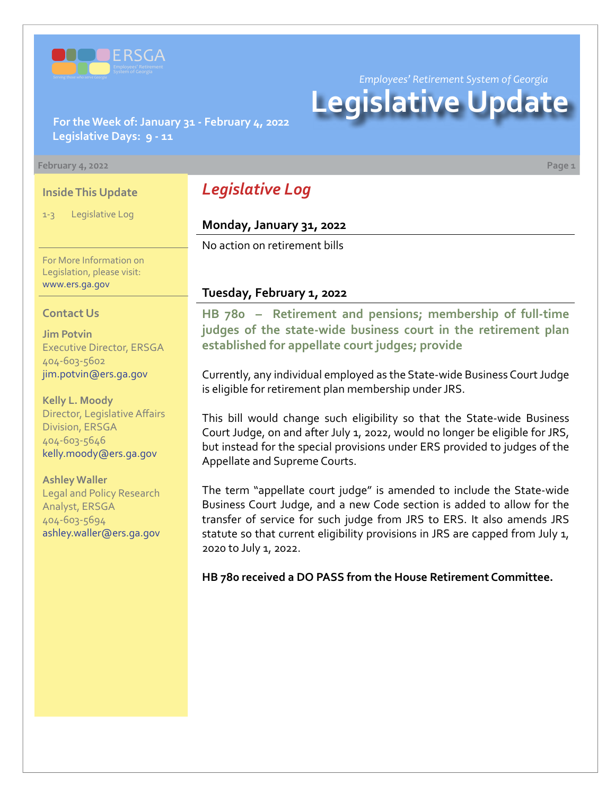

*Employees' Retirement System of Georgia*

# **Legislative Update**

**For the Week of: January 31 - February 4, 2022 Legislative Days: 9 - 11**

#### **February 4, 2022 Page 1**

### **Inside This Update**

1-3 Legislative Log

For More Information on Legislation, please visit: [www.ers.ga.gov](http://www.ers.ga.gov/default.aspx)

#### **Contact Us**

**Jim Potvin** Executive Director, ERSGA 404-603-5602 jim.potvin@ers.ga.gov

**Kelly L. Moody** Director, Legislative Affairs Division, ERSGA 404-603-5646 kelly.moody@ers.ga.gov

**Ashley Waller** Legal and Policy Research Analyst, ERSGA 404-603-5694 ashley.waller@ers.ga.gov

# *Legislative Log*

#### **Monday, January 31, 2022**

No action on retirement bills

### **Tuesday, February 1, 2022**

**HB 780 – Retirement and pensions; membership of full-time [judges of the state-wide business court in the retirement plan](https://www.legis.ga.gov/legislation/60559)  established for appellate court judges; provide**

Currently, any individual employed as the State-wide Business Court Judge is eligible for retirement plan membership under JRS.

This bill would change such eligibility so that the State-wide Business Court Judge, on and after July 1, 2022, would no longer be eligible for JRS, but instead for the special provisions under ERS provided to judges of the Appellate and Supreme Courts.

The term "appellate court judge" is amended to include the State-wide Business Court Judge, and a new Code section is added to allow for the transfer of service for such judge from JRS to ERS. It also amends JRS statute so that current eligibility provisions in JRS are capped from July 1, 2020 to July 1, 2022.

**HB 780 received a DO PASS from the House Retirement Committee.**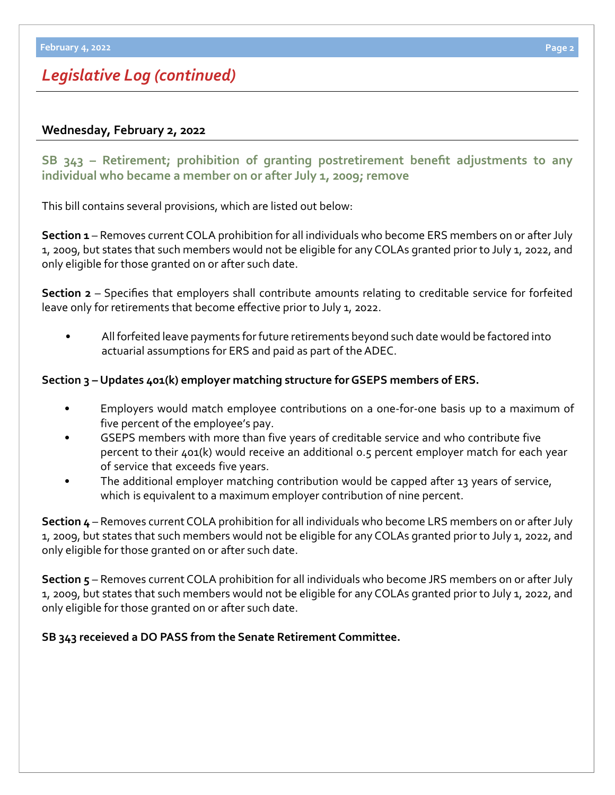# *Legislative Log (continued)*

# **Wednesday, February 2, 2022**

**[SB 343](https://www.legis.ga.gov/legislation/61176) – [Retirement; prohibition of granting postretirement benefit adjustments to any](https://www.legis.ga.gov/legislation/61176)  individual who became a member on or after July 1, 2009; remove**

This bill contains several provisions, which are listed out below:

**Section 1** – Removes current COLA prohibition for all individuals who become ERS members on or after July 1, 2009, but states that such members would not be eligible for any COLAs granted prior to July 1, 2022, and only eligible for those granted on or after such date.

**Section 2** – Specifies that employers shall contribute amounts relating to creditable service for forfeited leave only for retirements that become effective prior to July 1, 2022.

• All forfeited leave payments for future retirements beyond such date would be factored into actuarial assumptions for ERS and paid as part of the ADEC.

## **Section 3 – Updates 401(k) employer matching structure for GSEPS members of ERS.**

- Employers would match employee contributions on a one-for-one basis up to a maximum of five percent of the employee's pay.
- GSEPS members with more than five years of creditable service and who contribute five percent to their 401(k) would receive an additional 0.5 percent employer match for each year of service that exceeds five years.
- The additional employer matching contribution would be capped after 13 years of service, which is equivalent to a maximum employer contribution of nine percent.

**Section 4** – Removes current COLA prohibition for all individuals who become LRS members on or after July 1, 2009, but states that such members would not be eligible for any COLAs granted prior to July 1, 2022, and only eligible for those granted on or after such date.

**Section 5** – Removes current COLA prohibition for all individuals who become JRS members on or after July 1, 2009, but states that such members would not be eligible for any COLAs granted prior to July 1, 2022, and only eligible for those granted on or after such date.

### **SB 343 receieved a DO PASS from the Senate Retirement Committee.**